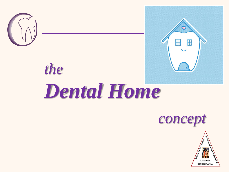

*the*



# *Dental Home*



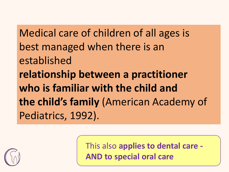Medical care of children of all ages is best managed when there is an established **relationship between a practitioner who is familiar with the child and the child's family** (American Academy of Pediatrics, 1992).



This also **applies to dental care - AND to special oral care**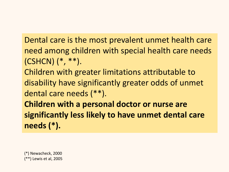Dental care is the most prevalent unmet health care need among children with special health care needs (CSHCN) (\*, \*\*). Children with greater limitations attributable to disability have significantly greater odds of unmet dental care needs (\*\*). **Children with a personal doctor or nurse are significantly less likely to have unmet dental care needs (\*).**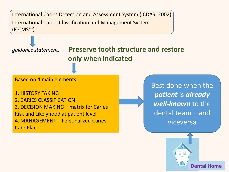

**Dental Home**

H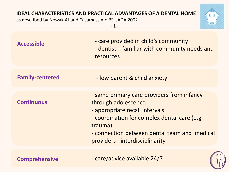#### **IDEAL CHARACTERISTICS AND PRACTICAL ADVANTAGES OF A DENTAL HOME**

as described by Nowak AJ and Casamassimo PS, JADA 2002

 $-1 -$ 



| <b>Accessible</b>      | - care provided in child's community<br>- dentist – familiar with community needs and<br>resources                                                                                                                                                |
|------------------------|---------------------------------------------------------------------------------------------------------------------------------------------------------------------------------------------------------------------------------------------------|
| <b>Family-centered</b> | - low parent & child anxiety                                                                                                                                                                                                                      |
| <b>Continuous</b>      | - same primary care providers from infancy<br>through adolescence<br>- appropriate recall intervals<br>- coordination for complex dental care (e.g.<br>trauma)<br>- connection between dental team and medical<br>providers - interdisciplinarity |
| <b>Comprehensive</b>   | - care/advice available 24/7                                                                                                                                                                                                                      |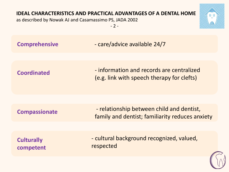#### **IDEAL CHARACTERISTICS AND PRACTICAL ADVANTAGES OF A DENTAL HOME**

as described by Nowak AJ and Casamassimo PS, JADA 2002

 $-2 -$ 



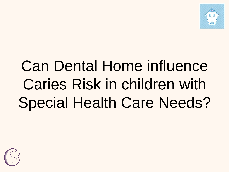

## Can Dental Home influence Caries Risk in children with Special Health Care Needs?

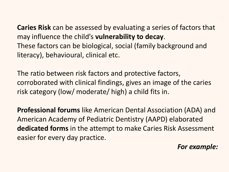**Caries Risk** can be assessed by evaluating a series of factors that may influence the child's **vulnerability to decay**. These factors can be biological, social (family background and literacy), behavioural, clinical etc.

The ratio between risk factors and protective factors, corroborated with clinical findings, gives an image of the caries risk category (low/ moderate/ high) a child fits in.

**Professional forums** like American Dental Association (ADA) and American Academy of Pediatric Dentistry (AAPD) elaborated **dedicated forms** in the attempt to make Caries Risk Assessment easier for every day practice.

*For example:*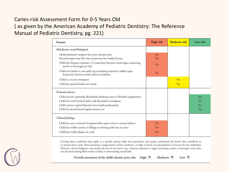#### Caries-risk Assessment Form for 0-5 Years Old ( as given by the American Academy of Pediatric Dentistry: The Reference Manual of Pediatric Dentistry, pg. 221)

| Factors                                                                                                             | <b>High risk</b> | Moderate risk | Low risk   |
|---------------------------------------------------------------------------------------------------------------------|------------------|---------------|------------|
| Risk factors, social/biological                                                                                     |                  |               |            |
| Mother/primary caregiver has active dental caries                                                                   | Yes              |               |            |
| Parent/caregiver has life-time of poverty, low health literacy                                                      | Yes:             |               |            |
| Child has frequent exposure (>3 times/day) between-meal sugar-containing<br>snacks or beverages per day             | Yes              |               |            |
| Child uses bottle or non-spill cup containing natural or added sugar<br>frequently, between meals and/or at bedtime | Yes              |               |            |
| Child is a recent immigrant                                                                                         |                  | Yes           |            |
| Child has special health care needs                                                                                 |                  | Yes           |            |
| Protective factors                                                                                                  |                  |               |            |
| Child receives optimally-fluoridated drinking water or fluoride supplements                                         |                  |               | Yes        |
| Child has teeth brushed daily with fluoridated toothpaste                                                           |                  |               | Yes        |
| Child receives topical fluoride from health professional                                                            |                  |               | Yes        |
| Child has dental home/regular dental care                                                                           |                  |               | <b>Yes</b> |
| <b>Clinical</b> findings                                                                                            |                  |               |            |
| Child has non-cavitated (incipient/white spot) caries or enamel defects                                             | Yes              |               |            |
| Child has visible cavities or fillings or missing teeth due to caries                                               | Yes              |               |            |
| Child has visible plaque on teeth                                                                                   | Yes              |               |            |

Circling those conditions that apply to a specific patient helps the practitioner and parent understand the factors that contribute to or protect from caries. Risk assessment categorization of low, moderate, or high is based on preponderance of factors for the individual. However, clinical judgment may justify the use of one factor (e.g., frequent exposure to sugar-containing snacks or beverages, more than one decayed missing filled surfaces [dmfs]) in determining overall risk.

Overall assessment of the child's dental caries risk: High □ Moderate  $\square$ Low  $\square$ 

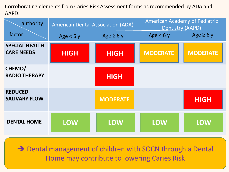Corroborating elements from Caries Risk Assessment forms as recommended by ADA and AAPD:

| authority                                  | <b>American Dental Association (ADA)</b> |                 | American Academy of Pediatric<br><b>Dentistry (AAPD)</b> |                 |
|--------------------------------------------|------------------------------------------|-----------------|----------------------------------------------------------|-----------------|
| factor                                     | Age $< 6y$                               | Age $\geq 6y$   | Age $< 6y$                                               | Age $\geq 6$ y  |
| <b>SPECIAL HEALTH</b><br><b>CARE NEEDS</b> | <b>HIGH</b>                              | <b>HIGH</b>     | <b>MODERATE</b>                                          | <b>MODERATE</b> |
| CHEMO/<br><b>RADIO THERAPY</b>             |                                          | <b>HIGH</b>     |                                                          |                 |
| <b>REDUCED</b><br><b>SALIVARY FLOW</b>     |                                          | <b>MODERATE</b> |                                                          | <b>HIGH</b>     |
| <b>DENTAL HOME</b>                         | <b>LOW</b>                               | <b>LOW</b>      | <b>LOW</b>                                               | <b>LOW</b>      |

**→** Dental management of children with SOCN through a Dental Home may contribute to lowering Caries Risk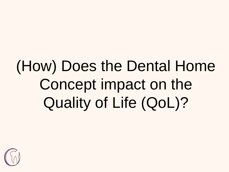## (How) Does the Dental Home Concept impact on the Quality of Life (QoL)?

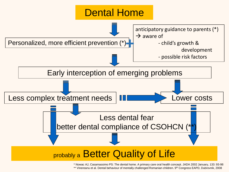

\* Nowac AJ, Casamassimo PS: The dental home. A primary care oral health concept. JADA 2002 January, 133: 93-98 \*\* Vinereanu et al. Dental behaviour of mentally challenged Romanian children. 9<sup>th</sup> Congress EAPD, Dubrovnik, 2008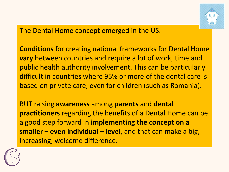

The Dental Home concept emerged in the US.

**Conditions** for creating national frameworks for Dental Home **vary** between countries and require a lot of work, time and public health authority involvement. This can be particularly difficult in countries where 95% or more of the dental care is based on private care, even for children (such as Romania).

BUT raising **awareness** among **parents** and **dental practitioners** regarding the benefits of a Dental Home can be a good step forward in **implementing the concept on a smaller – even individual – level**, and that can make a big, increasing, welcome difference.